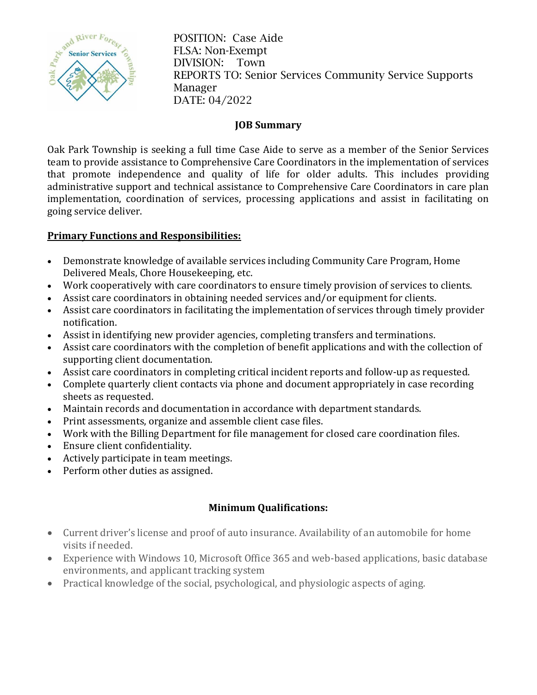

POSITION: Case Aide FLSA: Non-Exempt DIVISION: Town REPORTS TO: Senior Services Community Service Supports Manager DATE: 04/2022

## **JOB Summary**

Oak Park Township is seeking a full time Case Aide to serve as a member of the Senior Services team to provide assistance to Comprehensive Care Coordinators in the implementation of services that promote independence and quality of life for older adults. This includes providing administrative support and technical assistance to Comprehensive Care Coordinators in care plan implementation, coordination of services, processing applications and assist in facilitating on going service deliver.

## **Primary Functions and Responsibilities:**

- Demonstrate knowledge of available services including Community Care Program, Home Delivered Meals, Chore Housekeeping, etc.
- Work cooperatively with care coordinators to ensure timely provision of services to clients.
- Assist care coordinators in obtaining needed services and/or equipment for clients.
- Assist care coordinators in facilitating the implementation of services through timely provider notification.
- Assist in identifying new provider agencies, completing transfers and terminations.
- Assist care coordinators with the completion of benefit applications and with the collection of supporting client documentation.
- Assist care coordinators in completing critical incident reports and follow-up as requested.
- Complete quarterly client contacts via phone and document appropriately in case recording sheets as requested.
- Maintain records and documentation in accordance with department standards.
- Print assessments, organize and assemble client case files.
- Work with the Billing Department for file management for closed care coordination files.
- Ensure client confidentiality.
- Actively participate in team meetings.
- Perform other duties as assigned.

## **Minimum Qualifications:**

- Current driver's license and proof of auto insurance. Availability of an automobile for home visits if needed.
- Experience with Windows 10, Microsoft Office 365 and web-based applications, basic database environments, and applicant tracking system
- Practical knowledge of the social, psychological, and physiologic aspects of aging.